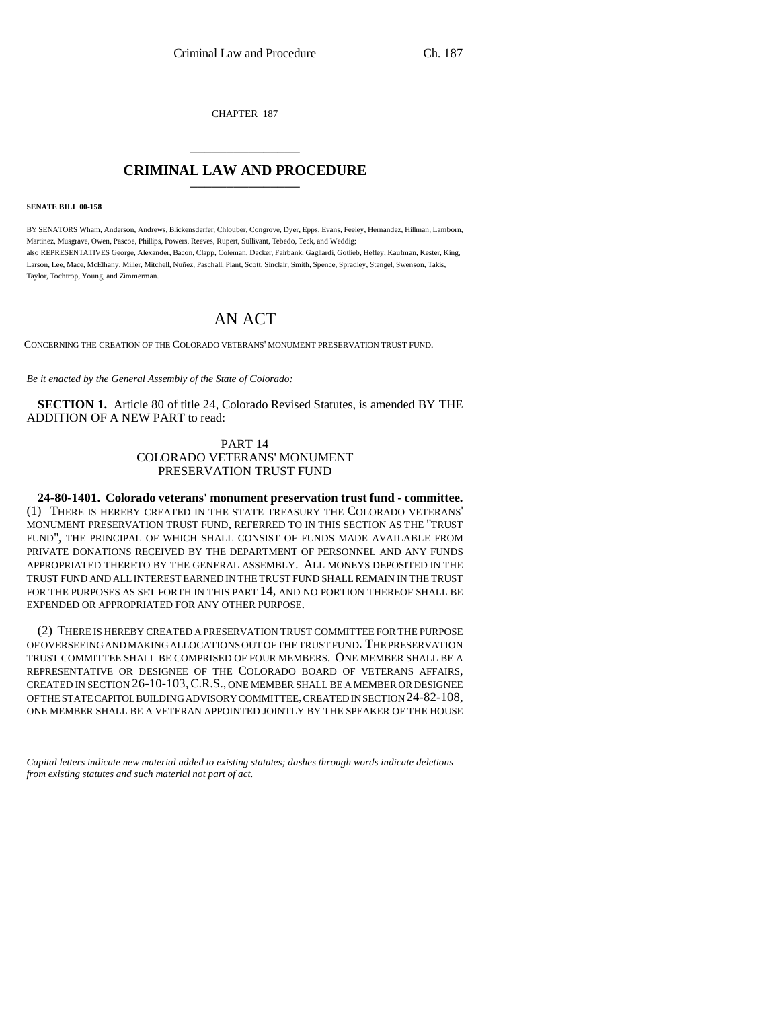CHAPTER 187

## \_\_\_\_\_\_\_\_\_\_\_\_\_\_\_ **CRIMINAL LAW AND PROCEDURE** \_\_\_\_\_\_\_\_\_\_\_\_\_\_\_

**SENATE BILL 00-158** 

BY SENATORS Wham, Anderson, Andrews, Blickensderfer, Chlouber, Congrove, Dyer, Epps, Evans, Feeley, Hernandez, Hillman, Lamborn, Martinez, Musgrave, Owen, Pascoe, Phillips, Powers, Reeves, Rupert, Sullivant, Tebedo, Teck, and Weddig; also REPRESENTATIVES George, Alexander, Bacon, Clapp, Coleman, Decker, Fairbank, Gagliardi, Gotlieb, Hefley, Kaufman, Kester, King, Larson, Lee, Mace, McElhany, Miller, Mitchell, Nuñez, Paschall, Plant, Scott, Sinclair, Smith, Spence, Spradley, Stengel, Swenson, Takis, Taylor, Tochtrop, Young, and Zimmerman.

## AN ACT

CONCERNING THE CREATION OF THE COLORADO VETERANS' MONUMENT PRESERVATION TRUST FUND.

*Be it enacted by the General Assembly of the State of Colorado:*

**SECTION 1.** Article 80 of title 24, Colorado Revised Statutes, is amended BY THE ADDITION OF A NEW PART to read:

## PART 14 COLORADO VETERANS' MONUMENT PRESERVATION TRUST FUND

**24-80-1401. Colorado veterans' monument preservation trust fund - committee.** (1) THERE IS HEREBY CREATED IN THE STATE TREASURY THE COLORADO VETERANS' MONUMENT PRESERVATION TRUST FUND, REFERRED TO IN THIS SECTION AS THE "TRUST FUND", THE PRINCIPAL OF WHICH SHALL CONSIST OF FUNDS MADE AVAILABLE FROM PRIVATE DONATIONS RECEIVED BY THE DEPARTMENT OF PERSONNEL AND ANY FUNDS APPROPRIATED THERETO BY THE GENERAL ASSEMBLY. ALL MONEYS DEPOSITED IN THE TRUST FUND AND ALL INTEREST EARNED IN THE TRUST FUND SHALL REMAIN IN THE TRUST FOR THE PURPOSES AS SET FORTH IN THIS PART 14, AND NO PORTION THEREOF SHALL BE EXPENDED OR APPROPRIATED FOR ANY OTHER PURPOSE.

OF THE STATE CAPITOL BUILDING ADVISORY COMMITTEE, CREATED IN SECTION 24-82-108, (2) THERE IS HEREBY CREATED A PRESERVATION TRUST COMMITTEE FOR THE PURPOSE OF OVERSEEING AND MAKING ALLOCATIONS OUT OF THE TRUST FUND. THE PRESERVATION TRUST COMMITTEE SHALL BE COMPRISED OF FOUR MEMBERS. ONE MEMBER SHALL BE A REPRESENTATIVE OR DESIGNEE OF THE COLORADO BOARD OF VETERANS AFFAIRS, CREATED IN SECTION 26-10-103,C.R.S., ONE MEMBER SHALL BE A MEMBER OR DESIGNEE ONE MEMBER SHALL BE A VETERAN APPOINTED JOINTLY BY THE SPEAKER OF THE HOUSE

*Capital letters indicate new material added to existing statutes; dashes through words indicate deletions from existing statutes and such material not part of act.*